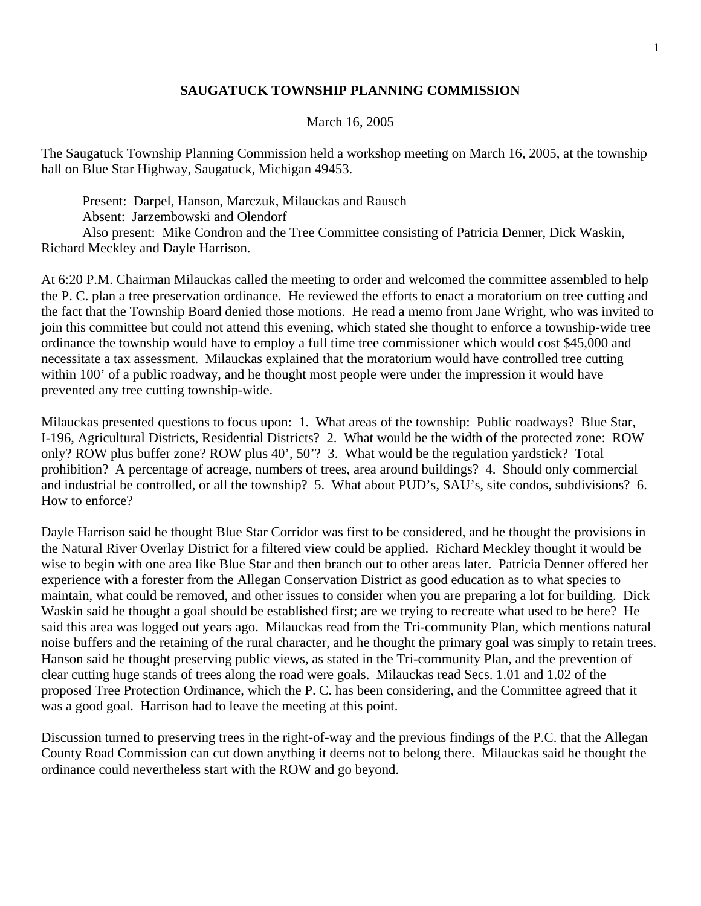## **SAUGATUCK TOWNSHIP PLANNING COMMISSION**

## March 16, 2005

The Saugatuck Township Planning Commission held a workshop meeting on March 16, 2005, at the township hall on Blue Star Highway, Saugatuck, Michigan 49453.

 Present: Darpel, Hanson, Marczuk, Milauckas and Rausch Absent: Jarzembowski and Olendorf Also present: Mike Condron and the Tree Committee consisting of Patricia Denner, Dick Waskin,

Richard Meckley and Dayle Harrison.

At 6:20 P.M. Chairman Milauckas called the meeting to order and welcomed the committee assembled to help the P. C. plan a tree preservation ordinance. He reviewed the efforts to enact a moratorium on tree cutting and the fact that the Township Board denied those motions. He read a memo from Jane Wright, who was invited to join this committee but could not attend this evening, which stated she thought to enforce a township-wide tree ordinance the township would have to employ a full time tree commissioner which would cost \$45,000 and necessitate a tax assessment. Milauckas explained that the moratorium would have controlled tree cutting within 100' of a public roadway, and he thought most people were under the impression it would have prevented any tree cutting township-wide.

Milauckas presented questions to focus upon: 1. What areas of the township: Public roadways? Blue Star, I-196, Agricultural Districts, Residential Districts? 2. What would be the width of the protected zone: ROW only? ROW plus buffer zone? ROW plus 40', 50'? 3. What would be the regulation yardstick? Total prohibition? A percentage of acreage, numbers of trees, area around buildings? 4. Should only commercial and industrial be controlled, or all the township? 5. What about PUD's, SAU's, site condos, subdivisions? 6. How to enforce?

Dayle Harrison said he thought Blue Star Corridor was first to be considered, and he thought the provisions in the Natural River Overlay District for a filtered view could be applied. Richard Meckley thought it would be wise to begin with one area like Blue Star and then branch out to other areas later. Patricia Denner offered her experience with a forester from the Allegan Conservation District as good education as to what species to maintain, what could be removed, and other issues to consider when you are preparing a lot for building. Dick Waskin said he thought a goal should be established first; are we trying to recreate what used to be here? He said this area was logged out years ago. Milauckas read from the Tri-community Plan, which mentions natural noise buffers and the retaining of the rural character, and he thought the primary goal was simply to retain trees. Hanson said he thought preserving public views, as stated in the Tri-community Plan, and the prevention of clear cutting huge stands of trees along the road were goals. Milauckas read Secs. 1.01 and 1.02 of the proposed Tree Protection Ordinance, which the P. C. has been considering, and the Committee agreed that it was a good goal. Harrison had to leave the meeting at this point.

Discussion turned to preserving trees in the right-of-way and the previous findings of the P.C. that the Allegan County Road Commission can cut down anything it deems not to belong there. Milauckas said he thought the ordinance could nevertheless start with the ROW and go beyond.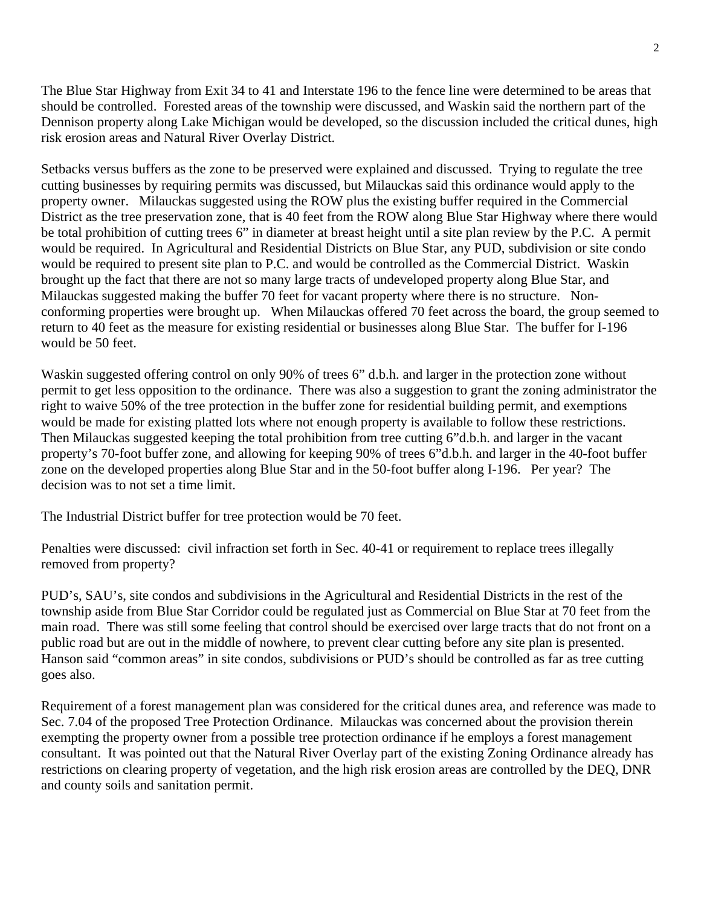The Blue Star Highway from Exit 34 to 41 and Interstate 196 to the fence line were determined to be areas that should be controlled. Forested areas of the township were discussed, and Waskin said the northern part of the Dennison property along Lake Michigan would be developed, so the discussion included the critical dunes, high risk erosion areas and Natural River Overlay District.

Setbacks versus buffers as the zone to be preserved were explained and discussed. Trying to regulate the tree cutting businesses by requiring permits was discussed, but Milauckas said this ordinance would apply to the property owner. Milauckas suggested using the ROW plus the existing buffer required in the Commercial District as the tree preservation zone, that is 40 feet from the ROW along Blue Star Highway where there would be total prohibition of cutting trees 6" in diameter at breast height until a site plan review by the P.C. A permit would be required. In Agricultural and Residential Districts on Blue Star, any PUD, subdivision or site condo would be required to present site plan to P.C. and would be controlled as the Commercial District. Waskin brought up the fact that there are not so many large tracts of undeveloped property along Blue Star, and Milauckas suggested making the buffer 70 feet for vacant property where there is no structure. Nonconforming properties were brought up. When Milauckas offered 70 feet across the board, the group seemed to return to 40 feet as the measure for existing residential or businesses along Blue Star. The buffer for I-196 would be 50 feet.

Waskin suggested offering control on only 90% of trees 6" d.b.h. and larger in the protection zone without permit to get less opposition to the ordinance. There was also a suggestion to grant the zoning administrator the right to waive 50% of the tree protection in the buffer zone for residential building permit, and exemptions would be made for existing platted lots where not enough property is available to follow these restrictions. Then Milauckas suggested keeping the total prohibition from tree cutting 6"d.b.h. and larger in the vacant property's 70-foot buffer zone, and allowing for keeping 90% of trees 6"d.b.h. and larger in the 40-foot buffer zone on the developed properties along Blue Star and in the 50-foot buffer along I-196. Per year? The decision was to not set a time limit.

The Industrial District buffer for tree protection would be 70 feet.

Penalties were discussed: civil infraction set forth in Sec. 40-41 or requirement to replace trees illegally removed from property?

PUD's, SAU's, site condos and subdivisions in the Agricultural and Residential Districts in the rest of the township aside from Blue Star Corridor could be regulated just as Commercial on Blue Star at 70 feet from the main road. There was still some feeling that control should be exercised over large tracts that do not front on a public road but are out in the middle of nowhere, to prevent clear cutting before any site plan is presented. Hanson said "common areas" in site condos, subdivisions or PUD's should be controlled as far as tree cutting goes also.

Requirement of a forest management plan was considered for the critical dunes area, and reference was made to Sec. 7.04 of the proposed Tree Protection Ordinance. Milauckas was concerned about the provision therein exempting the property owner from a possible tree protection ordinance if he employs a forest management consultant. It was pointed out that the Natural River Overlay part of the existing Zoning Ordinance already has restrictions on clearing property of vegetation, and the high risk erosion areas are controlled by the DEQ, DNR and county soils and sanitation permit.